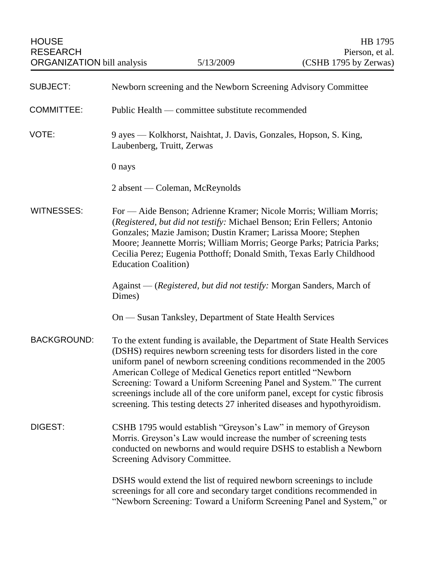| <b>SUBJECT:</b>    | Newborn screening and the Newborn Screening Advisory Committee                                                                                                                                                                                                                                                                                                                                                                                                                                                                         |
|--------------------|----------------------------------------------------------------------------------------------------------------------------------------------------------------------------------------------------------------------------------------------------------------------------------------------------------------------------------------------------------------------------------------------------------------------------------------------------------------------------------------------------------------------------------------|
| <b>COMMITTEE:</b>  | Public Health — committee substitute recommended                                                                                                                                                                                                                                                                                                                                                                                                                                                                                       |
| VOTE:              | 9 ayes — Kolkhorst, Naishtat, J. Davis, Gonzales, Hopson, S. King,<br>Laubenberg, Truitt, Zerwas                                                                                                                                                                                                                                                                                                                                                                                                                                       |
|                    | 0 nays                                                                                                                                                                                                                                                                                                                                                                                                                                                                                                                                 |
|                    | 2 absent — Coleman, McReynolds                                                                                                                                                                                                                                                                                                                                                                                                                                                                                                         |
| <b>WITNESSES:</b>  | For — Aide Benson; Adrienne Kramer; Nicole Morris; William Morris;<br>(Registered, but did not testify: Michael Benson; Erin Fellers; Antonio<br>Gonzales; Mazie Jamison; Dustin Kramer; Larissa Moore; Stephen<br>Moore; Jeannette Morris; William Morris; George Parks; Patricia Parks;<br>Cecilia Perez; Eugenia Potthoff; Donald Smith, Texas Early Childhood<br><b>Education Coalition</b> )                                                                                                                                      |
|                    | Against — (Registered, but did not testify: Morgan Sanders, March of<br>Dimes)                                                                                                                                                                                                                                                                                                                                                                                                                                                         |
|                    | On — Susan Tanksley, Department of State Health Services                                                                                                                                                                                                                                                                                                                                                                                                                                                                               |
| <b>BACKGROUND:</b> | To the extent funding is available, the Department of State Health Services<br>(DSHS) requires newborn screening tests for disorders listed in the core<br>uniform panel of newborn screening conditions recommended in the 2005<br>American College of Medical Genetics report entitled "Newborn<br>Screening: Toward a Uniform Screening Panel and System." The current<br>screenings include all of the core uniform panel, except for cystic fibrosis<br>screening. This testing detects 27 inherited diseases and hypothyroidism. |
| DIGEST:            | CSHB 1795 would establish "Greyson's Law" in memory of Greyson<br>Morris. Greyson's Law would increase the number of screening tests<br>conducted on newborns and would require DSHS to establish a Newborn<br>Screening Advisory Committee.                                                                                                                                                                                                                                                                                           |
|                    | DSHS would extend the list of required newborn screenings to include<br>screenings for all core and secondary target conditions recommended in<br>"Newborn Screening: Toward a Uniform Screening Panel and System," or                                                                                                                                                                                                                                                                                                                 |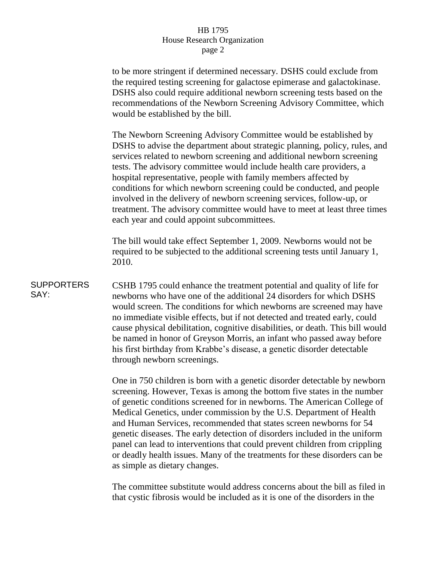## HB 1795 House Research Organization page 2

to be more stringent if determined necessary. DSHS could exclude from the required testing screening for galactose epimerase and galactokinase. DSHS also could require additional newborn screening tests based on the recommendations of the Newborn Screening Advisory Committee, which would be established by the bill.

The Newborn Screening Advisory Committee would be established by DSHS to advise the department about strategic planning, policy, rules, and services related to newborn screening and additional newborn screening tests. The advisory committee would include health care providers, a hospital representative, people with family members affected by conditions for which newborn screening could be conducted, and people involved in the delivery of newborn screening services, follow-up, or treatment. The advisory committee would have to meet at least three times each year and could appoint subcommittees.

The bill would take effect September 1, 2009. Newborns would not be required to be subjected to the additional screening tests until January 1, 2010.

## **SUPPORTERS** SAY: CSHB 1795 could enhance the treatment potential and quality of life for newborns who have one of the additional 24 disorders for which DSHS would screen. The conditions for which newborns are screened may have no immediate visible effects, but if not detected and treated early, could cause physical debilitation, cognitive disabilities, or death. This bill would be named in honor of Greyson Morris, an infant who passed away before his first birthday from Krabbe's disease, a genetic disorder detectable through newborn screenings.

One in 750 children is born with a genetic disorder detectable by newborn screening. However, Texas is among the bottom five states in the number of genetic conditions screened for in newborns. The American College of Medical Genetics, under commission by the U.S. Department of Health and Human Services, recommended that states screen newborns for 54 genetic diseases. The early detection of disorders included in the uniform panel can lead to interventions that could prevent children from crippling or deadly health issues. Many of the treatments for these disorders can be as simple as dietary changes.

The committee substitute would address concerns about the bill as filed in that cystic fibrosis would be included as it is one of the disorders in the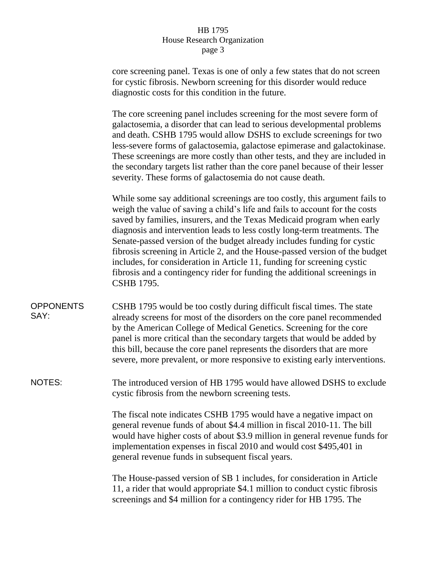## HB 1795 House Research Organization page 3

core screening panel. Texas is one of only a few states that do not screen for cystic fibrosis. Newborn screening for this disorder would reduce diagnostic costs for this condition in the future.

The core screening panel includes screening for the most severe form of galactosemia, a disorder that can lead to serious developmental problems and death. CSHB 1795 would allow DSHS to exclude screenings for two less-severe forms of galactosemia, galactose epimerase and galactokinase. These screenings are more costly than other tests, and they are included in the secondary targets list rather than the core panel because of their lesser severity. These forms of galactosemia do not cause death.

While some say additional screenings are too costly, this argument fails to weigh the value of saving a child's life and fails to account for the costs saved by families, insurers, and the Texas Medicaid program when early diagnosis and intervention leads to less costly long-term treatments. The Senate-passed version of the budget already includes funding for cystic fibrosis screening in Article 2, and the House-passed version of the budget includes, for consideration in Article 11, funding for screening cystic fibrosis and a contingency rider for funding the additional screenings in CSHB 1795.

**OPPONENTS** SAY: CSHB 1795 would be too costly during difficult fiscal times. The state already screens for most of the disorders on the core panel recommended by the American College of Medical Genetics. Screening for the core panel is more critical than the secondary targets that would be added by this bill, because the core panel represents the disorders that are more severe, more prevalent, or more responsive to existing early interventions.

NOTES: The introduced version of HB 1795 would have allowed DSHS to exclude cystic fibrosis from the newborn screening tests.

> The fiscal note indicates CSHB 1795 would have a negative impact on general revenue funds of about \$4.4 million in fiscal 2010-11. The bill would have higher costs of about \$3.9 million in general revenue funds for implementation expenses in fiscal 2010 and would cost \$495,401 in general revenue funds in subsequent fiscal years.

The House-passed version of SB 1 includes, for consideration in Article 11, a rider that would appropriate \$4.1 million to conduct cystic fibrosis screenings and \$4 million for a contingency rider for HB 1795. The